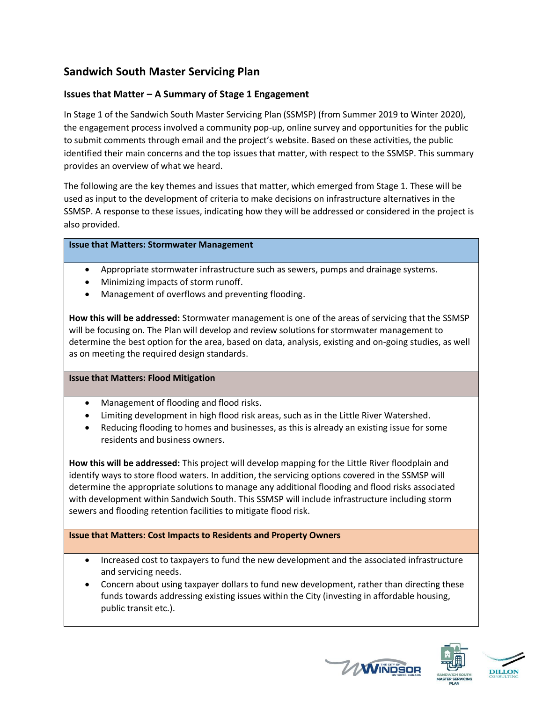# **Sandwich South Master Servicing Plan**

## **Issues that Matter – A Summary of Stage 1 Engagement**

In Stage 1 of the Sandwich South Master Servicing Plan (SSMSP) (from Summer 2019 to Winter 2020), the engagement process involved a community pop-up, online survey and opportunities for the public to submit comments through email and the project's website. Based on these activities, the public identified their main concerns and the top issues that matter, with respect to the SSMSP. This summary provides an overview of what we heard.

The following are the key themes and issues that matter, which emerged from Stage 1. These will be used as input to the development of criteria to make decisions on infrastructure alternatives in the SSMSP. A response to these issues, indicating how they will be addressed or considered in the project is also provided.

#### **Issue that Matters: Stormwater Management**

- Appropriate stormwater infrastructure such as sewers, pumps and drainage systems.
- Minimizing impacts of storm runoff.
- Management of overflows and preventing flooding.

**How this will be addressed:** Stormwater management is one of the areas of servicing that the SSMSP will be focusing on. The Plan will develop and review solutions for stormwater management to determine the best option for the area, based on data, analysis, existing and on-going studies, as well as on meeting the required design standards.

#### **Issue that Matters: Flood Mitigation**

- Management of flooding and flood risks.
- Limiting development in high flood risk areas, such as in the Little River Watershed.
- Reducing flooding to homes and businesses, as this is already an existing issue for some residents and business owners.

**How this will be addressed:** This project will develop mapping for the Little River floodplain and identify ways to store flood waters. In addition, the servicing options covered in the SSMSP will determine the appropriate solutions to manage any additional flooding and flood risks associated with development within Sandwich South. This SSMSP will include infrastructure including storm sewers and flooding retention facilities to mitigate flood risk.

#### **Issue that Matters: Cost Impacts to Residents and Property Owners**

- Increased cost to taxpayers to fund the new development and the associated infrastructure and servicing needs.
- Concern about using taxpayer dollars to fund new development, rather than directing these funds towards addressing existing issues within the City (investing in affordable housing, public transit etc.).





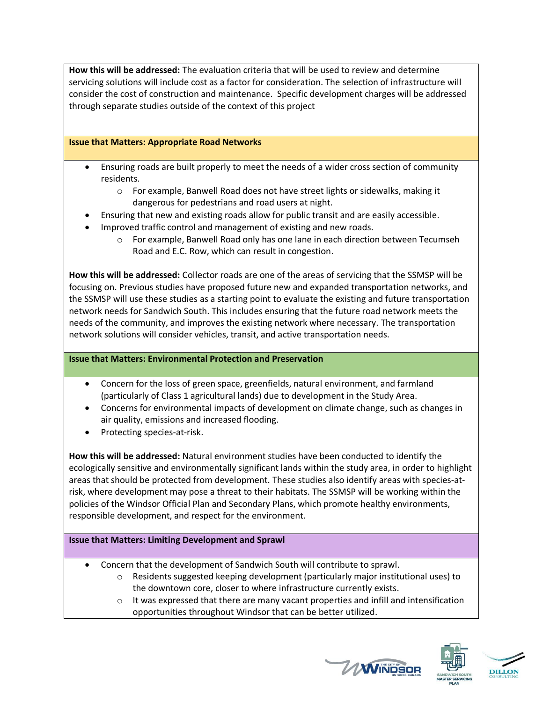**How this will be addressed:** The evaluation criteria that will be used to review and determine servicing solutions will include cost as a factor for consideration. The selection of infrastructure will consider the cost of construction and maintenance. Specific development charges will be addressed through separate studies outside of the context of this project

### **Issue that Matters: Appropriate Road Networks**

- Ensuring roads are built properly to meet the needs of a wider cross section of community residents.
	- o For example, Banwell Road does not have street lights or sidewalks, making it dangerous for pedestrians and road users at night.
- Ensuring that new and existing roads allow for public transit and are easily accessible.
- Improved traffic control and management of existing and new roads.
	- o For example, Banwell Road only has one lane in each direction between Tecumseh Road and E.C. Row, which can result in congestion.

**How this will be addressed:** Collector roads are one of the areas of servicing that the SSMSP will be focusing on. Previous studies have proposed future new and expanded transportation networks, and the SSMSP will use these studies as a starting point to evaluate the existing and future transportation network needs for Sandwich South. This includes ensuring that the future road network meets the needs of the community, and improves the existing network where necessary. The transportation network solutions will consider vehicles, transit, and active transportation needs.

#### **Issue that Matters: Environmental Protection and Preservation**

- Concern for the loss of green space, greenfields, natural environment, and farmland (particularly of Class 1 agricultural lands) due to development in the Study Area.
- Concerns for environmental impacts of development on climate change, such as changes in air quality, emissions and increased flooding.
- Protecting species-at-risk.

**How this will be addressed:** Natural environment studies have been conducted to identify the ecologically sensitive and environmentally significant lands within the study area, in order to highlight areas that should be protected from development. These studies also identify areas with species-atrisk, where development may pose a threat to their habitats. The SSMSP will be working within the policies of the Windsor Official Plan and Secondary Plans, which promote healthy environments, responsible development, and respect for the environment.

#### **Issue that Matters: Limiting Development and Sprawl**

- Concern that the development of Sandwich South will contribute to sprawl.
	- $\circ$  Residents suggested keeping development (particularly major institutional uses) to the downtown core, closer to where infrastructure currently exists.
	- $\circ$  It was expressed that there are many vacant properties and infill and intensification opportunities throughout Windsor that can be better utilized.